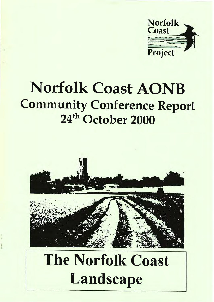

# **Norfolk Coast AONB Community Conference Report** 24<sup>th</sup> October 2000



# **The Norfolk Coast Landscape**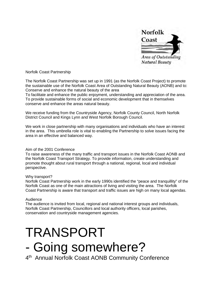

Norfolk Coast Partnership

The Norfolk Coast Partnership was set up in 1991 (as the Norfolk Coast Project) to promote the sustainable use of the Norfolk Coast Area of Outstanding Natural Beauty (AONB) and to: Conserve and enhance the natural beauty of the area

To facilitate and enhance the public enjoyment, understanding and appreciation of the area. To provide sustainable forms of social and economic development that in themselves conserve and enhance the areas natural beauty.

We receive funding from the Countryside Agency, Norfolk County Council, North Norfolk District Council and Kings Lynn and West Norfolk Borough Council.

We work in close partnership with many organisations and individuals who have an interest in the area. This umbrella role is vital to enabling the Partnership to solve issues facing the area in an effective and balanced way.

## Aim of the 2001 Conference

To raise awareness of the many traffic and transport issues in the Norfolk Coast AONB and the Norfolk Coast Transport Strategy. To provide information, create understanding and promote thought about rural transport through a national, regional, local and individual perspective.

## Why transport?

Norfolk Coast Partnership work in the early 1990s identified the "peace and tranquillity" of the Norfolk Coast as one of the main attractions of living and visiting the area. The Norfolk Coast Partnership is aware that transport and traffic issues are high on many local agendas.

## Audience

The audience is invited from local, regional and national interest groups and individuals, Norfolk Coast Partnership, Councillors and local authority officers, local parishes, conservation and countryside management agencies.

# TRANSPORT

# - Going somewhere?

4<sup>th</sup> Annual Norfolk Coast AONB Community Conference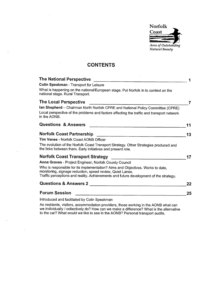

# **CONTENTS**

| <b>The National Perspective</b>                                                                                                                                                                                                                             |    |
|-------------------------------------------------------------------------------------------------------------------------------------------------------------------------------------------------------------------------------------------------------------|----|
| <b>Colin Speakman - Transport for Leisure</b>                                                                                                                                                                                                               |    |
| What is happening on the national/European stage. Put Norfolk in to context on the<br>national stage. Rural Transport.                                                                                                                                      |    |
| The Local Perspective                                                                                                                                                                                                                                       |    |
| Ian Shepherd - Chairman North Norfolk CPRE and National Policy Committee (CPRE)                                                                                                                                                                             |    |
| Local perspective of the problems and factors affecting the traffic and transport network<br>in the AONB.                                                                                                                                                   |    |
| <b>Questions &amp; Answers</b>                                                                                                                                                                                                                              |    |
| Norfolk Coast Partnership<br>and the second control of the second control of the second control of the second control of the second control of the second control of the second control of the second control of the second control of the second control o | 13 |
| Tim Venes - Norfolk Coast AONB Officer                                                                                                                                                                                                                      |    |
| The evolution of the Norfolk Coast Transport Strategy. Other Strategies produced and<br>the links between them. Early initiatives and present role.                                                                                                         |    |
| <b>Norfolk Coast Transport Strategy</b>                                                                                                                                                                                                                     |    |
| Anna Graves - Project Engineer, Norfolk County Council                                                                                                                                                                                                      |    |
| Who is responsible for its implementation? Aims and Objectives. Works to date,                                                                                                                                                                              |    |
| monitoring, signage reduction, speed review, Quiet Lanes.<br>Traffic perceptions and reality. Achievements and future development of the strategy.                                                                                                          |    |
|                                                                                                                                                                                                                                                             | 22 |
| <b>Forum Session</b><br>the company of the company of the company of the company of the company of the company of the company of the company of the company of the company of the company of the company of the company of the company of the company       | 25 |
| Infrastruard and faailitated by Oalis Ossasisse                                                                                                                                                                                                             |    |

Introduced and facilitated by Colin Speakman

As residents, visitors, accommodation providers, those working in the AONB what can<br>we individually / collectively do? How can we make a difference? What is the alternative<br>to the car? What would we like to see in the AONB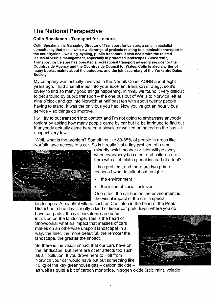# **The National Perspective**

## **Colin Speakman - Transport for Leisure**

Colin Speakman is Managing Director of Transport for Leisure, a small specialist consultancy that deals with a wide range of projects relating to sustainable transport in the countryside – walking, cycling, public transport. It also deals with the related issues of visible management, especially in protected landscapes. Since 1987, Transport for Leisure has operated a recreational transport advisory service for the Countryside Agency and the Countryside Council for Wales, Colin is also a writer of many books, mainly about the outdoors, and the joint secretary of the Yorkshire Dales **Society** 

My company was actually involved in the Norfolk Coast AONB about eight years ago. I had a small input into your excellent transport strategy, so it's lovely to find so many good things happening. In 1993 we found it very difficult to get around by public transport – the one bus out of Wells to Norwich left at nine o'clock and got into Norwich at half past ten with about twenty people having to stand. It was the only bus you had! Now you've got an hourly bus service - so things do improve!

I will try to put transport into context and I'm not going to embarrass anybody tonight by asking how many people came by car but I'd be intriqued to find out if anybody actually came here on a bicycle or walked or indeed on the bus  $-1$ suspect very few.

Well, what is the problem? Something like 80-85% of people in areas like Norfolk have access to a car, So is it really just a tiny problem of a small



minority which sooner or later will go away when everybody has a car and children are born with a left clutch pedal instead of a foot?

It is a problem, and there are two prime reasons I want to talk about tonight:

- the environment
- the issue of social inclusion.

One effect the car has on the environment is the visual impact of the car in special

landscapes. A beautiful village such as Castleton in the heart of the Peak District on a fine day is really a kind of linear car park. Even where you do

have car parks, the car park itself can be an intrusion on the landscape. This is the heart of Snowdonia; what an impact that masses of cars makes on an otherwise unspoilt landscape! In a way, the finer, the more beautiful, the remoter the landscape, the greater the impact.

So there is the visual impact that our cars have on the landscape. But there are other affects too such as air pollution. If you drove here to Holt from Norwich your car would have put out something like 16 kg of the key greenhouse gas  $-$  carbon dioxide  $-$ 



as well as quite a bit of carbon monoxide, nitrogen oxide (acic rain), volatile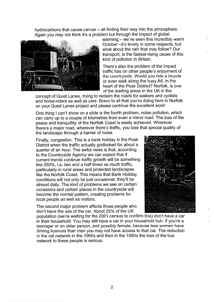hydrocarbons that cause cancer - all finding their way into the atmosphere. Again you may not think it's a problem but through the impact of global



warming - we've seen this incredibly warm October-it's lovely in some respects, but what about the rain that may follow? Our transport, is the fastest-rising cause of this kind of pollution in Britain.

There's also the problem of the impact traffic has on other people's enjoyment of the countryside. Would you ride a bicycle or even walk along the busy A6, in the heart of the Peak District? Norfolk, is one of the leading areas in the UK in the

concept of Quiet Lanes, trying to reclaim the roads for walkers and cyclists and horse-riders as well as cars. Bravo to all that you're doing here in Norfolk on your Quiet Lanes project and please continue the excellent work!

One thing I can't show on a slide is the fourth problem, noise pollution, which can carry up to a couple of kilometres from even a minor road. The loss of the peace and tranquillity of the Norfolk Coast is easily achieved. Wherever there's a major road, wherever there's traffic, you lose that special quality of the landscape through a barrier of noise.

Finally, congestion. This is a bank holiday in the Peak District when the traffic actually gridlocked for about a quarter of an hour. The awful news is that, according to the Countryside Agency we can expect that if current trends continue traffic growth will be something like 250%, i.e. two and a half times as much traffic, particularly in rural areas and protected landscapes like the Norfolk Coast. This means that Bank Holiday conditions will not only be just occasional, they'll be almost daily. The kind of problems we see on certain occasions and certain places in the countryside will become the normal pattern, creating problems for local people as well as visitors.

The second major problem affects those people who don't have the use of the car. About 25% of the UK



population (we're waiting for the 2001 census to confirm this) don't have a car in their household. You may still have a car in your household but- if you're a teenager or an older person, and possibly female, because less women have driving licences than men you may not have access to that car. The reduction in the rail network in the 1960s and then in the 1980s the loss of the bus network to these people is serious.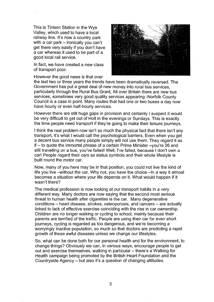This is Tintern Station in the Wye Valley, which used to have a local railway line. It's now a country park with a car park - ironically you can't get there very easily if you don't have a car whereas it used to be part of a good local rail service.

In fact, we have created a new class of transport poor.

However the good news is that over



the last two or three years the trends have been dramatically reversed. The Government has put a great deal of new money into rural bus services, particularly through the Rural Bus Grant, All over Britain there are new bus services, sometimes very good quality services appearing -Norfolk County Council is a case in point. Many routes that had one or two buses a day now have hourly or even half-hourly services.

However there are still huge gaps in provision and certainly I suspect it would be very difficult to get out of Holt in the evenings or Sundays. This is exactly the time people need transport if they're going to make their leisure journeys.

I think the real problem now isn't so much the physical fact that there isn't any transport, it's what I would call the psychological barriers. Even when you get a decent bus service many people simply will not use them. They regard it as if – to quote the immortal phrase of a certain Prime Minister –you're 26 and still travelling on a bus, you've failed! Well, I've failed, because I don't own a car! People regard their cars as status symbols and their whole lifestyle is built round the motor car.

Now, many of you here may be in that position, you could not live the kind of life you live –without the car. Why not, you have the choice – In a way it almost becomes a situation where your life depends on it. What would happen if it wasn't there?

The medical profession is now looking at our transport habits in a very different way. Many doctors are now saying that the second most serious threat to human health after cigarettes is the car. Many degenerative conditions - heart disease, strokes, osteoporosis, and cancers - are actually linked to lack of effective exercise coinciding with the rise in car ownership. Children are no longer walking or cycling to school, mainly because their parents are terrified of the traffic. People are using their car for even short journeys, cycling is regarded as too dangerous, and we're becoming a worryingly inactive population, so much so that doctors are predicting a rapid growth of these awful diseases unless we change our lifestyles.

So, what can be done both for our personal health and for the environment, to change things? Obviously we can, in various ways, encourage people to get out and exercise themselves, walking in particular – there's a Walking for Health campaign being promoted by the British Heart Foundation and the Countryside Agency - but also it's a question of changing attitudes.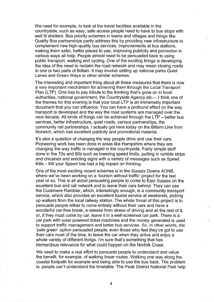We need for example, to look at the travel facilities available in the countryside, such as easy, safe access people need to have to bus stops with well lit shelters. Bus priority schemes in towns and villages and things like Quality Bus partnerships partly address this by providing new infrastructure to complement new high-quality bus services. Improvements at bus stations. making them safer, better places to use, improving publicity and promotion in various ways all help. People almost need to be persuaded back to using public transport, walking and cycling. One of the exciting things is developing the idea of the need to reclaim the road network and may mean closing roads in one or two parts of Britain. It may involve setting up national parks Quiet Lanes and Green Ways or other similar schemes.

The interesting and important thing about all these measures that there is now a very important mechanism for achieving them through the Local Transport Plan (LTP). One has to pay tribute to the thinking that's gone on in local authorities, national government, the Countryside Agency etc.-. I think one of the themes for this evening is that your local LTP is an immensely important document that you can influence. You can have a profound effect on the way transport is developed and the way the road systems are managed over the next decade. All kinds of things can be achieved through the LTP - better bus services, better infrastructure, quiet roads, various partnerships, the community rail partnerships. I actually got here today on the Bittern Line from Norwich, which has excellent publicity and promotional material.

It's also a question of changing the way people drive and use their cars. Pioneering work has been done in areas like Hampshire where they are changing the way traffic is managed in the countryside. Fairly simple stuff done in the 70s and 80s such as lowering speed limits, putting in rumble strips and chicanes and erecting signs with a variety of messages such as Speed Kills - Kill your Speed has had a big impact on thinking.

One of the most exciting recent schemes is in the Sussex Downs AONB. where we've been working on a 'tourism without traffic' project for the last year or so. This is all about persuading people to come to East Sussex on the excellent bus and rail network and to leave their cars behind. They can use the Cuckmere Rambler, which, interestingly enough, is a community transport service, which also provides an excellent tourist service at weekends, picking up walkers from the local railway station. The whole thrust of this project is to persuade people either to come entirely without their cars and have a wonderful car-free break, a release from stress of driving and all the rest of it. or, if they must come by car, leave it in a well-screened car park. There is a car park with solar powered ticket machines and the money generated is used to support traffic management and better bus services. So, in other words, the 'pale green' option persuaded people, even those who feel they've got to use their cars most of the time, to leave the car when they arrive and enjoy a whole variety of different things. I'm sure that's something that has tremendous relevance for what could happen on the Norfolk Coast.

We need to make a real effort to persuade people to understand and value the benefit, for example, of walking linear routes. Walking one way along the coastal footpath for example and being able to use the bus back. The problem is, people can't understand the timetable. The Peak District National Park help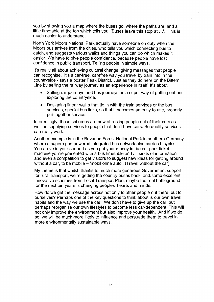you by showing you a map where the buses go, where the paths are, and a little timetable at the top which tells you: 'Buses leave this stop at ...'. This is much easier to understand.

North York Moors National Park actually have someone on duty when the Moors bus arrives from the cities, who tells you which connecting bus to catch, and suggests various walks and things you can do which makes it easier. We have to give people confidence, because people have lost confidence in public transport. Telling people in simple ways.

It's really all about achieving cultural change, giving messages that people can recognise. It's a car-free, carefree way you travel by train into in the countryside - says a poster Peak District. Just as they do here on the Bittern Line by selling the railway journey as an experience in itself. It's about

- Selling rail journeys and bus journeys as a super way of getting out and exploring the countryside.
- Designing linear walks that tie in with the train services or the bus services, special bus links, so that it becomes an easy to use, properly put-together service.

Interestingly, these schemes are now attracting people out of their cars as well as supplying services to people that don't have cars. So quality services can really work.

Another example is in the Bavarian Forest National Park in southern Germany where a superb gas-powered integrated bus network also carries bicycles. You arrive in your car and as you put your money in the car park ticket machine you're presented with a bus timetable and all kinds of information and even a competition to get visitors to suggest new ideas for getting around without a car, to be mobile - 'mobil öhne auto'. (Travel without the car)

My theme is that whilst, thanks to much more generous Government support for rural transport, we're getting the country buses back, and some excellent innovative schemes from Local Transport Plan, maybe the real battleground for the next ten years is changing peoples' hearts and minds.

How do we get the message across not only to other people out there, but to ourselves? Perhaps one of the key questions to think about is our own travel habits and the way we use the car. We don't have to give up the car, but perhaps reorganise our own lifestyles to become less car-dependent. This will not only improve the environment but also improve your health. And if we do so, we will be much more likely to influence and persuade them to travel in more environmentally sustainable ways.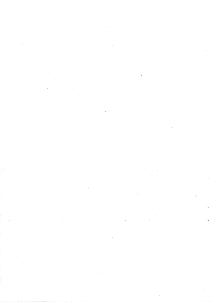$\label{eq:2.1} \frac{1}{\sqrt{2}}\int_{0}^{\infty}\frac{1}{\sqrt{2\pi}}\left(\frac{1}{\sqrt{2\pi}}\right)^{2\alpha} \frac{1}{\sqrt{2\pi}}\int_{0}^{\infty}\frac{1}{\sqrt{2\pi}}\left(\frac{1}{\sqrt{2\pi}}\right)^{\alpha} \frac{1}{\sqrt{2\pi}}\frac{1}{\sqrt{2\pi}}\int_{0}^{\infty}\frac{1}{\sqrt{2\pi}}\frac{1}{\sqrt{2\pi}}\frac{1}{\sqrt{2\pi}}\frac{1}{\sqrt{2\pi}}\frac{1}{\sqrt{2\pi}}\frac{1}{\sqrt{2\pi}}$ 

 $\label{eq:2.1} \frac{1}{\sqrt{2}}\int_{0}^{\infty}\frac{1}{\sqrt{2\pi}}\left(\frac{1}{\sqrt{2\pi}}\right)^{2\alpha} \frac{1}{\sqrt{2\pi}}\int_{0}^{\infty}\frac{1}{\sqrt{2\pi}}\left(\frac{1}{\sqrt{2\pi}}\right)^{\alpha} \frac{1}{\sqrt{2\pi}}\frac{1}{\sqrt{2\pi}}\int_{0}^{\infty}\frac{1}{\sqrt{2\pi}}\frac{1}{\sqrt{2\pi}}\frac{1}{\sqrt{2\pi}}\frac{1}{\sqrt{2\pi}}\frac{1}{\sqrt{2\pi}}\frac{1}{\sqrt{2\pi}}$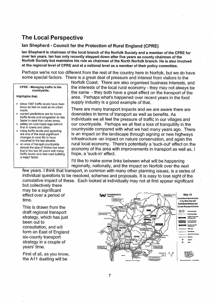# **The Local Perspective**

## Ian Shepherd - Council for the Protection of Rural England (CPRE)

lan Shepherd is chairman of the local branch of the Norfolk Society and a member of the CPRE for over ten years. Ian has only recently stepped down after five years as county chairman of the Norfolk Society but maintains his role as chairman of the North Norfolk branch. He is also involved at the regional level of CPRE and at a national level as a member of their policy committee.

Perhaps we're not too different from the rest of the country here in Norfolk, but we do have some special factors. There is a great deal of pressure and interest from visitors to the

**CPRE - Managing traffic in the** countryside.

### Highlights that:

- since 1997 traffic levels have risen twice as fast on rural as on urban roads
- current predictions are for future traffic levels and congestion to rise faster in rural than urban areas.
- safety on rural roads lags behind that in towns and cities.
- rising traffic levels and speeding are one of the most significant changes to rural life to have occurred in the last decade.
- an area of tranguil countryside almost the size of Wales has been lost in the last 30 years with rising traffic levels and new road building a major factor.

Norfolk Coast. There are also organised business interests, and the interests of the local rural economy - they may not always be the same - they both have a great effect on the transport of the area. Perhaps what's happened over recent years in the food supply industry is a good example of that.

There are many transport impacts and we are aware there are downsides in terms of transport as well as benefits. As individuals we all feel the pressure of traffic in our villages and our countryside. Perhaps we all feel a loss of tranguillity in the countryside compared with what we had many years ago. There is an impact on the landscape through signing or new highways infrastructure -an impact on nature conservation, and again the rural local economy. There's potentially a 'suck-out' effect on the economy of the area with improvements in transport as well as, I hope, a 'suck-in' effect.

I'd like to make some links between what will be happening regionally, nationally, and the impact on Norfolk over the next

few years. I think that transport, in common with many other planning issues, is a series of individual questions to be resolved, schemes and proposals. It is easy to lose sight of the cumulative impact of these. Each looked at individually may not at first appear significant

but collectively there may be a significant effect over a period of time.

This is drawn from the draft regional transport strategy, which has just been out to consultation, and will form an East of England six-county transport strategy in a couple of years' time.

First of all, as you know, the A11 dualling will be

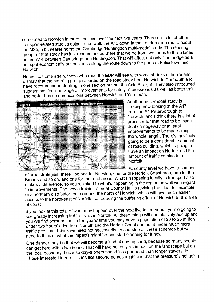completed to Norwich in three sections over the next five years. There are a lot of other transport-related studies going on as well: the A12 down in the London area round about the M25; a bit nearer home the Cambridge/Huntingdon multi-modal study. The steering group for that study has just recommended there that we go from two lanes to three lanes on the A14 between Cambridge and Huntingdon. That will affect not only Cambridge as a hot spot economically but business along the route down to the ports at Felixstowe and Harwich.

Nearer to home again, those who read the EDP will see with some shrieks of horror and dismay that the steering group reported on the road study from Norwich to Yarmouth and have recommended dualling in one section but not the Acle Straight. They also introduced suggestions for a package of improvements for safety at crossroads as well as better train and better bus communications between Norwich and Yarmouth.



Another multi-model study is starting now looking at the A47 from the A1 Peterborough to Norwich, and I think there is a lot of pressure for that road to be made dual carriageway or at least improvements to be made along the whole length. There's inevitably going to be a considerable amount of road building, which is going to have an impact on Norfolk and the amount of traffic coming into Norfolk.

At county level we have a number of area strategies: there'll be one for Norwich, one for the Norfolk Coast area, one for the Broads and so on, and one for the rural areas. What's happening locally in transport also makes a difference, so you're linked to what's happening in the region as well with regard to improvements. The new administration at County Hall is reviving the idea, for example, of a northern distributor route around the north of Norwich, which will give much easier access to the north-east of Norfolk, so reducing the buffering effect of Norwich to this area of coast

If you look at this total of what may happen over the next five to ten years, you're going to see greatly increasing traffic levels in Norfolk. All these things will cumulatively add up and you will find perhaps that in ten years' time you may have a population of 20 to 25 million under two hours' drive from Norfolk and the Norfolk Coast and put it under much more traffic pressure. I think we need not necessarily try and stop all these schemes but we need to think of what the impacts might be and start planning for it now.

One danger may be that we will become a kind of day-trip land, because so many people can get here within two hours. That will have not only an impact on the landscape but on the local economy, because day-trippers spend less per head than longer stayers do. Those interested in rural issues like second homes might find that the pressure's not going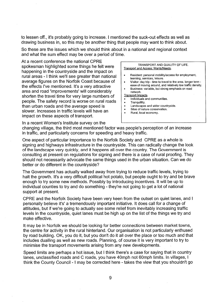to lessen off., it's probably going to increase. I mentioned the suck-out effects as well as drawing business in, so this may be another thing that people may want to think about.

So these are the issues which we should think about in a national and regional context and what the sum effect may be over a period of time.

At a recent conference the national CPRE spokesman highlighted some things he felt were happening in the countryside and the impact on rural areas - I think we'll see greater than national average figures on the Norfolk Coast because of the effects I've mentioned. It's a very attractive area and road 'improvements' will considerably shorten the travel time for very large numbers of people. The safety record is worse on rural roads than urban roads and the average speed is slower. Increases in traffic levels will have an impact on these aspects of transport.

In a recent Women's Institute survey on the

### **TRANSPORT AND QUALITY OF LIFE.** Transport and Access; Wants/Needs.

- Resident: personal mobility/access for employment, learning, services, leisure.
- Visitor: day trip time to travel to the area. longer term ease of moving around, and relatively low traffic density.
- Business: variable, but strong emphasis on road network.

Transport Impacts.

- Individuals and communities.
- Tranquillity.  $\bullet$
- Landscapes and wider countryside.
- Sites of nature conservation.  $\bullet$
- Rural, local economy.

changing village, the third most mentioned factor was people's perception of an increase in traffic, and particularly concerns for speeding and heavy traffic.

One aspect of particular importance to the Norfolk Society and CPRE as a whole is signing and highways infrastructure in the countryside. This can radically change the look of the landscape very quickly, and it happens all over the country. The Government is consulting at present on regulations for signing and there is a case of rural proofing. They should not necessarily advocate the same things used in the urban situation. Can we do better or do different in the countryside?

The Government has actually walked away from trying to reduce traffic levels, trying to halt the growth. It's a very difficult political hot potato, but people ought to try and be brave enough to try some new methods. Possibly by introducing incentives. It will be up to individual counties to try and do something - they're not going to get a lot of national support at present.

CPRE and the Norfolk Society have been very keen from the outset on quiet lanes, and I personally believe it's' a tremendously important initiative. It does call for a change of attitudes, but if we're going to actually see some relief from inevitably increasing traffic levels in the countryside, quiet lanes must be high up on the list of the things we try and make effective.

It may be in Norfolk we should be looking for better connections between market towns, the centre for activity in the rural hinterland. Our organisation is not particularly enthused by road building. OK, you do it, but you don't do it all over the place or too much and that includes dualling as well as new roads. Planning, of course it is very important to try to minimise the transport movements arising from any new developments.

Speed limits are perhaps a hot issue, but I think there's a case for saying that in country lanes, unclassified roads and C roads, you have 40mph not 60mph limits. In villages, I think the County Council - I may be corrected here - takes the view that you shouldn't go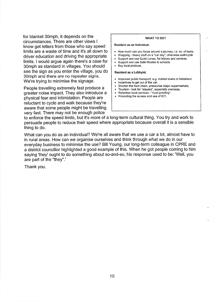for blanket 30mph, it depends on the circumstances. There are other views I know get letters from those who say speed limits are a waste of time and it's all down to driver education and driving the appropriate limits. I would arque again there's a case for 30mph as standard in villages. You should see the sign as you enter the village, you do 30mph and there are no repeater signs. We're trying to minimise the signage.

People travelling extremely fast produce a greater noise impact. They also introduce a physical fear and intimidation. People are reluctant to cycle and walk because they're aware that some people might be travelling very fast. There may not be enough police

#### **WHAT TO DO?**

#### Resident as an Individual.

- How much can you focus around a journey, i.e. no. of tasks.
- Shopping heavy stuff on a "car day"; otherwise walk/cycle
- Support and use Quiet Lanes, for leisure and services.
- Support and use Safe Routes to schools.
- · Buy local produce.

### Resident as a Lobbyist.

- Improved public transport, e.g. market towns to hinterland.
- Incentives to get out of the car.
- Shorten the food chain, pressurise major supermarkets.
- Tourism look for "stayers", especially overseas.
- Retention local services "rural proofing".
- Promoting the access and use of ICT.

to enforce the speed limits, but it's more of a long-term cultural thing. You try and work to persuade people to reduce their speed where appropriate because overall it is a sensible thing to do.

What can you do as an individual? We're all aware that we use a car a lot, almost have to in rural areas. How can we organise ourselves and think through what we do in our everyday business to minimise the use? Bill Young, our long-term colleague in CPRE and a district councillor highlighted a good example of this. When he got people coming to him saying 'they' ought to do something about so-and-so, his response used to be: 'Well, you are part of the "they".'

Thank you.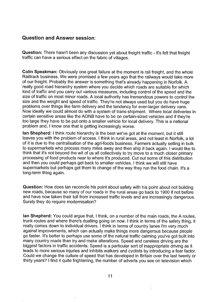# **Question and Answer session:**

Question: There hasn't been any discussion yet about freight traffic - it's felt that freight traffic can have a serious effect on the fabric of villages.

Colin Speakman: Obviously one great failure at the moment is rail freight, and the whole Railtrack business. We were promised a few years ago that the railways would take more of our freight. Probably the answer is something that's already happening in Norfolk. A really good road hierarchy system where you decide which roads are suitable for which kind of traffic and you carry out various measures, including control of the speed and the size of traffic on most minor roads. A local authority has tremendous powers to control the size and the weight and speed of traffic. They're not always used but you do have huge problems over things like farm delivery and the tendency for ever-larger delivery vans. Now ideally we could almost do with a system of trans-shipment. Where local deliveries in certain sensitive areas like the AONB have to be on certain-sized vehicles and if they're too large they have to be put onto a smaller vehicle for local delivery. This is a national problem and, I know one that is getting increasingly worse.

lan Shepherd: I think route hierarchy is the best we've got at the moment, but it still leaves you with the problem of access. I think in rural areas, and not least in Norfolk, a lot of it is due to the centralisation of the agri-foods business. Farmers actually selling in bulk to supermarkets who process many miles away and then ship it back again. I would like to think that it's not beyond the wit of us all collectively to try move to a much closer primary processing of food products near to where it's produced. Cut out some of this distribution and then you could perhaps get back to smaller vehicles. I think we will still have supermarkets but perhaps get them to change of the way they run the food chain. It's a long-term thing again.

Question: How does lan reconcile his point about safety with his point about not building new roads, because so many of our roads in the rural areas go back to 1900 if not before and have now taken their toll from increased traffic levels and are increasingly dangerous. Surely they do require modernisation?

**Ian Shepherd:** You could argue that, I think, on a number of the main roads, the A routes, trunk routes and where there's dualling going on now. I think in terms of the safety thing, it really comes down to individual drivers. I think in terms of country lanes I'm very much against improvements, which can actually make things more dangerous because people go faster. It's better to perhaps use some of the natural traffic calming you've got built into many country roads than try and make alterations. Speed and careless driving are the biggest factors in traffic accidents. Speed is a particular sort of inappropriate driving as it leads to more serious injuries and inhibits walkers and cyclists by introducing a fear factor. Could we change the culture of speed that has developed in Britain over the last twenty or thirty years? I find it quite frightening, the number of adverts you see on television which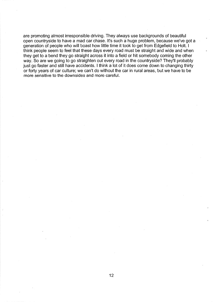are promoting almost irresponsible driving. They always use backgrounds of beautiful open countryside to have a mad car chase. It's such a huge problem, because we've got a generation of people who will boast how little time it took to get from Edgefield to Holt. I think people seem to feel that these days every road must be straight and wide and when they get to a bend they go straight across it into a field or hit somebody coming the other way. So are we going to go straighten out every road in the countryside? They'll probably just go faster and still have accidents. I think a lot of it does come down to changing thirty or forty years of car culture; we can't do without the car in rural areas, but we have to be more sensitive to the downsides and more careful.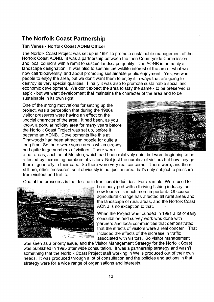# **The Norfolk Coast Partnership**

## Tim Venes - Norfolk Coast AONB Officer

The Norfolk Coast Project was set up in 1991 to promote sustainable management of the Norfolk Coast AONB. It was a partnership between the then Countryside Commission and local councils with a remit to sustain landscape quality. The AONB is primarily a landscape designation. It was also to sustain the wildlife interest of the area - what we now call 'biodiversity' and about promoting sustainable public enjoyment. Yes, we want people to enjoy the area, but we don't want them to enjoy it in ways that are going to destroy its very special qualities. Finally it was also to promote sustainable social and economic development. We don't expect the area to stay the same - to be preserved in aspic - but we want development that maintains the character of the area and to be sustainable in its own right.

One of the strong motivations for setting up the project, was a perception that during the 1980s visitor pressures were having an effect on the special character of the area. It had been, as you know, a popular holiday area for many years before the Norfolk Coast Project was set up, before it became an AONB. Developments like this at Pinewoods had been attracting people for quite a long time. So there were some areas which already had quite large numbers of visitors. There were



other areas, such as at Morston, which had been relatively quiet but were beginning to be affected by increasing numbers of visitors. Not just the number of visitors but how they got there - generally in their cars. So there were very real concerns. There were, and there still are, other pressures, so it obviously is not just an area that's only subject to pressure from visitors and traffic.

One of the pressures is the decline in traditional industries. For example, Wells used to



be a busy port with a thriving fishing industry, but now tourism is much more important. Of course agricultural change has affected all rural areas and the landscape of rural areas, and the Norfolk Coast AONB is no exception to that.

When the Project was founded in 1991 a lot of early consultation and survey work was done with partners and local communities that demonstrated that the effects of visitors were a real concern. That included the effects of the increase in traffic associated with visitors. So visitor management

was seen as a priority issue, and the Visitor Management Strategy for the Norfolk Coast was published in 1995 after wide consultation. It was a partnership strategy and wasn't something that the Norfolk Coast Project staff working in Wells produced out of their own heads. It was produced through a lot of consultation and the policies and actions in that strategy were for a wide range of organisations and interests.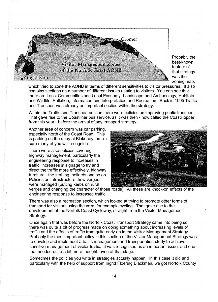

Probably the best-known feature of that strategy was the zoning map,

which tried to zone the AONB in terms of different sensitivities to visitor pressures. It also contains sections on a number of different issues relating to visitors. You can see that there are Local Communities and Local Economy, Landscape and Archaeology, Habitats and Wildlife, Pollution, Information and Interpretation and Recreation. Back in 1995 Traffic and Transport was already an important section within the strategy.

Within the Traffic and Transport section there were policies on improving public transport. That gave rise to the Coastliner bus service, as it was then - now called the CoastHopper from this year - before the arrival of any transport strategy.

Another area of concern was car parking, especially north of the Coast Road. This is parking on the quay at Blakeney, as I'm sure many of you will recognise.

There were also policies covering highway management, particularly the engineering response to increases in traffic, increases in signage to try and direct the traffic more effectively, highway furniture - the kerbing, bollards and so on. Policies on infrastructure, how verges were managed (putting kerbs on rural



verges and changing the character of those roads). All these are knock-on effects of the engineering response to increased traffic.

There was also a recreation section, which looked at trying to promote other forms of transport for visitors using the area, for example cycling. That gave rise to the development of the Norfolk Coast Cycleway, straight from the Visitor Management Strategy.

Once again that was before the Norfolk Coast Transport Strategy came into being so there was quite a bit of progress made on doing something about increasing levels of traffic and the effects of traffic from quite early on in the Visitor Management Strategy. Probably the most important policy in this section of the Visitor Management Strategy was to develop and implement a traffic management and transportation study to achieve sensitive management of visitor traffic. It was recognised as an important issue, and one that needed quite a bit more thought, even at that stage.

Sometimes the policies you write in strategies actually happen! In this case it did and particularly with the help of support from Ingrid Floering Blackman, we got Norfolk County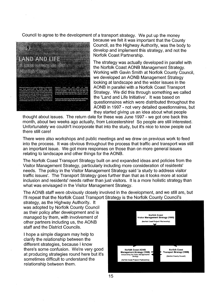Council to agree to the development of a transport strategy. We put up the money



because we felt it was important that the County Council, as the Highway Authority, was the body to develop and implement this strategy, and not the Norfolk Coast Partnership.

The strategy was actually developed in parallel with the Norfolk Coast AONB Management Strategy. Working with Gavin Smith at Norfolk County Council, we developed an AONB Management Strategy looking at landscape and the wider issues in the AONB in parallel with a Norfolk Coast Transport Strategy. We did this through something we called the 'Land and Life Initiative'. It was based on questionnaires which were distributed throughout the AONB in 1997 - not very detailed questionnaires, but they started giving us an idea about what people

thought about issues. The return date for these was June 1997 - we got one back this month, about two weeks ago actually, from Leicestershire! So people are still interested. Unfortunately we couldn't incorporate that into the study, but it's nice to know people out there still care!

There were also workshops and public meetings and we drew on previous work to feed into the process. It was obvious throughout the process that traffic and transport was still an important issue. We got more responses on those than on more general issues relating to landscape and other things for the AONB.

The Norfolk Coast Transport Strategy built on and expanded ideas and policies from the Visitor Management Strategy, particularly including more consideration of residents' needs. The policy in the Visitor Management Strategy said 'a study to address visitor traffic issues'. The Transport Strategy goes further than that as it looks more at social inclusion and residents' needs rather than just visitors. It is a more holistic strategy than what was envisaged in the Visitor Management Strategy.

The AONB staff were obviously closely involved in the development, and we still are, but I'll repeat that the Norfolk Coast Transport Strategy is the Norfolk County Council's

strategy, as the Highway Authority. It was adopted by Norfolk County Council as their policy after development and is managed by them, with involvement of other partners including us, the AONB staff and the District Councils.

I hope a simple diagram may help to clarify the relationship between the different strategies, because I know there's some confusion. We're very good at producing strategies round here but it's sometimes difficult to understand the relationship between them.

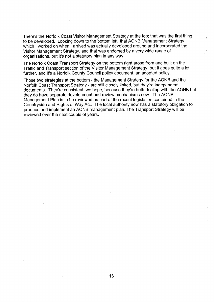There's the Norfolk Coast Visitor Management Strategy at the top; that was the first thing to be developed. Looking down to the bottom left, that AONB Management Strategy which I worked on when I arrived was actually developed around and incorporated the Visitor Management Strategy, and that was endorsed by a very wide range of organisations, but it's not a statutory plan in any way.

The Norfolk Coast Transport Strategy on the bottom right arose from and built on the Traffic and Transport section of the Visitor Management Strategy, but it goes quite a lot further, and it's a Norfolk County Council policy document, an adopted policy.

Those two strategies at the bottom - the Management Strategy for the AONB and the Norfolk Coast Transport Strategy - are still closely linked, but they're independent documents. They're consistent, we hope, because they're both dealing with the AONB but they do have separate development and review mechanisms now. The AONB Management Plan is to be reviewed as part of the recent legislation contained in the Countryside and Rights of Way Act. The local authority now has a statutory obligation to produce and implement an AONB management plan. The Transport Strategy will be reviewed over the next couple of years.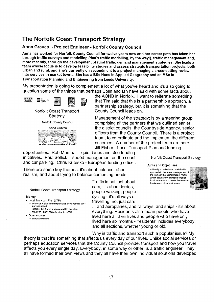# The Norfolk Coast Transport Strategy

## Anna Graves - Project Engineer - Norfolk County Council

Anna has worked for Norfolk County Council for twelve years now and her career path has taken her through traffic surveys and modelling (that's traffic modelling, by the way!), traffic management and, more recently, through the development of rural traffic demand management strategies. She leads a team whose focus is to develop feasibility studies and assess strategic transportation projects, both urban and rural, and she's currently on secondment to a project managing a cross-cutting review into services in market towns. She has a BSc Hons in Applied Geography and an MSc in Transportation Planning and Engineering from Leeds University.

My presentation is going to complement a lot of what you've heard and it's also going to question some of the things that perhaps Colin and Ian have said with some facts about



Norfolk Coast Transport Strategy Norfolk County Council



the AONB in Norfolk. I want to reiterate something that Tim said that this is a partnership approach, a partnership strategy, but it is something that the County Council leads on.

Management of the strategy: is by a steering group comprising all the partners that we outlined earlier, the district councils, the Countryside Agency, senior officers from the County Council. There is a project team, to co-ordinate and the implement the different schemes. A number of the project team are here. Jill Fisher - Local Transport Plan and funding

opportunities. Rob Marshall - quiet lanes and also funding initiatives. Paul Sellick - speed management on the coast and car parking. Chris Kutesko - European funding officer.

There are some key themes: it's about balance, about realism, and about trying to balance competing needs.

> Traffic is not just about cars, it's about lorries. people walking, people cycling - it's all ways of travelling, not just cars

- Money Local Transport Plan (LTP)
	-

Norfolk Coast Transport Strategy

- sets out the plan for transportation development over<br>a 5 year period
- NCTS is 1of 6 area strategies within this plan
- 2000/2001 £381,000 allocated to NCTS
- Other sources
- European/Grants

... and aeroplanes, and railways, and ships - it's about everything. Residents also mean people who have lived here all their lives and people who have only lived here six months - 'residents' includes everybody, and all sections, whether young or old.

Why is traffic and transport such a popular issue? My

theory is that it's something that affects us every day of our lives. Unlike social services or perhaps education services that the County Council provide, transport and how you travel affects you every single day. Everybody, in some way or other, is a traffic engineer. They all have formed their own views and they all have their own individual solutions developed.

Norfolk Coast Transport Strategy

#### **Aims and Objectives**

to identify a realistic and sustainable approach to the future management of the traffic in the Norfolk Coast AONB which benefits the environment and local residents and meets the needs fourism and other businesses

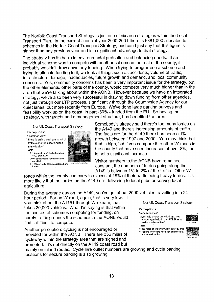The Norfolk Coast Transport Strategy is just one of six area strategies within the Local Transport Plan. In the current financial year 2000-2001 there is £381,000 allocated to schemes in the Norfolk Coast Transport Strategy, and can I just say that this figure is higher than any previous year and is a significant advantage to that strategy.

The strategy has its basis in environmental protection and balancing needs. If an individual scheme was to compete with another scheme in the rest of the county, it probably wouldn't draw down any funding. When trying to programme a scheme and trying to allocate funding to it, we look at things such as accidents, volume of traffic, infrastructure damage, inadequacies, future growth and demand, and local community concerns. Yes, community concerns has been a very important issue for the strategy, but the other elements, other parts of the county, would compete very much higher than in the area that we're talking about within the AONB. However because we have an integrated strategy, we've also been very successful in drawing down funding from other agencies, not just through our LTP process, significantly through the Countryside Agency for our quiet lanes, but more recently from Europe. We've done large parking surveys and feasibility work up on the coast, in part -50% - funded from the EU. So having the strategy, with targets and a management structure, has benefited the area.

Norfolk Coast Transport Strategy

**Perceptions:** 

- A common view \* there is an increasing amount of traffic along the coast and too many lorries."
- 
- Facts
- > 1% growth in all traffic between 1997 and 2000
- > Visitor numbers have remained
- 1-2% of traffic along coast road are lorries

Somebody's already said there's too many lorries on the A149 and there's increasing amounts of traffic. The facts are for the A149 there has been a 1% growth between 1997 and 2000. You may think that that is high, but if you compare it to other 'A' roads in the county that have seen increases of over 8%, that is not a significant increase.

Visitor numbers to the AONB have remained constant, the numbers of lorries going along the A149 is between 1% to 2% of the traffic. Other 'A'

roads within the county can carry in excess of 18% of their traffic being heavy lorries. It's more likely that the lorries on the A149 are delivering to local pubs or serving local agriculture.

During the average day on the A149, you've got about 2000 vehicles travelling in a 24-

hour period. For an 'A' road, again, that is very low. If you think about the A1151 through Wroxham, that takes 20,000 vehicles. What I'm saying is that within the context of schemes competing for funding, on purely traffic grounds the schemes in the AONB would find it difficult to compete.

Another perception: cycling is not encouraged or provided for within the AONB. There are 356 miles of cycleway within the strategy area that are signed and promoted. It's not directly on the A149 coast road but

mainly on inland routes. Cycle hire outlet numbers are growing and cycle parking locations for secure parking is also growing.

Norfolk Coast Transport Strategy

## Perceptions:

numerous location

#### A common view

- eycling is under provided and not encouraged within the AONB as a realistic alternative," Facts
- 
- 



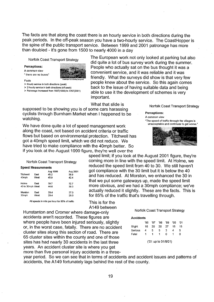The facts are that along the coast there is an hourly service in both directions during the peak periods. In the off-peak season you have a two-hourly service. The CoastHopper is the spine of the public transport service. Between 1999 and 2001 patronage has more than doubled - it's gone from 1500 to nearly 4000 in a day

Norfolk Coast Transport Strategy

**Perceptions:** 

Facts

A common view " there are no buses"



> Hourly service in both directions (peak)

> 2 hourly service in both directions (off-peak)

> Patronage increased from 1587(1999) to 3767(2001)

The European work not only looked at parking but also did quite a lot of bus survey work during the summer. People who actually sat on the bus thought it was a convenient service, and it was reliable and it was friendly. What the surveys did show is that very few people knew about the service. So this again comes back to the issue of having suitable data and being able to use it the development of schemes is very important.

What that slide is

supposed to be showing you is of some cars harassing cyclists through Burnham Market when I happened to be watching.

We have done quite a lot of speed management work along the coast, not based on accident criteria or traffic flows but based on environmental protection. Titchwell has got a 40mph speed limit, which we did not reduce. We have tried to make compliance with the 40mph better. So if you look at the August 1999 figure, they're well over the

Norfolk Coast Transport Strategy

### Perceptions:

A common view

"The speed of traffic through the villages is unacceptable and continues to get worse.'



Norfolk Coast Transport Strategy

#### **Speed Measurements**

| Titchwell<br>40mph | East<br>West | Aug 1999<br>45.2<br>45.9 | Aug 2001<br>38.9<br>42.4 |
|--------------------|--------------|--------------------------|--------------------------|
| Holme              | East         | 39.7                     | 32.7                     |
| 40 to 30mph West   |              | 44.6                     | 39.3                     |
| Morston            | East         | 29.4                     | 27.3                     |
| 30mph              | West         | 29.4                     | 28.0                     |

All speeds in mile per hour for 85% of traffic

speed limit; if you look at the August 2001 figure, they're coming more in line with the speed limit. At Holme, we reduced the speed limit from 40 to 30. We still haven't got compliance with the 30 limit but it is below the 40 and has reduced. At Morston, we enhanced the 30 in that we put some gateways up, made the speed limit more obvious, and we had a 30mph compliance; we've actually reduced it slightly. These are the facts. This is for 85% of the traffic that's travelling through.

This is for the A149 between

Hunstanton and Cromer where damage-only accidents aren't recorded. These figures are where people have been injured seriously, slightly or, in the worst case, fatally. There are no accident cluster sites along this section of road. There are 65 cluster sites within the county and one of those sites has had nearly 30 accidents in the last three years. An accident cluster site is where you get more than five personal injury accidents in a threeNorfolk Coast Transport Strategy

| <b>Accidents</b><br>× |     |     |     |     |     |     |  |  |  |
|-----------------------|-----|-----|-----|-----|-----|-----|--|--|--|
|                       | '96 | '97 | '98 | '99 | 'በ0 | '01 |  |  |  |
| Slight                | 16  | 20  | 20  | 27  | 15  | 15  |  |  |  |
| Serious               | 4   | 5   | 5   | з   | Δ   | 5   |  |  |  |
| Fatal                 | 1   | 1   | 1   | o   |     | 0   |  |  |  |
|                       |     |     |     |     |     |     |  |  |  |

('01 up to 31/8/01)

year period. So we can see that in terms of accidents and accident issues and patterns of accidents, the A149 fortunately lags behind the rest of the county.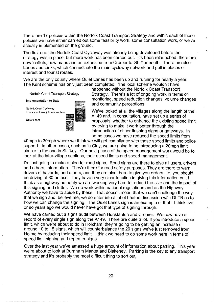There are 17 policies within the Norfolk Coast Transport Strategy and within each of those policies we have either carried out some feasibility work, some consultation work, or we've actually implemented on the ground.

The first one, the Norfolk Coast Cycleway was already being developed before the strategy was in place, but more work has been carried out. It's been relaunched, there are new leaflets, new maps and an extension from Cromer to Gt. Yarmouth. There are also Loops and Links, which connect into the main cycleway network and pull in places of interest and tourist routes.

We are the only county where Quiet Lanes has been up and running for nearly a year. The Kent scheme has only just been completed. The local scheme wouldn't have

Norfolk Coast Transport Strategy

**Implementation to Date** 

Norfolk Coast Cycleway Loops and Links (circular routes)

Quiet Lanes



happened without the Norfolk Coast Transport Strategy. There's a lot of ongoing work in terms of monitoring, speed reduction changes, volume changes and community perceptions.

We've looked at all the villages along the length of the A149 and, in consultation, have set up a series of proposals, whether to enhance the existing speed limit by trying to make it work better through the introduction of either flashing signs or gateways. In some cases we have reduced the speed limits from

40mph to 30mph where we think we will get compliance with those speed limits and police support. In other cases, such as in Cley, we are going to be introducing a 20mph limit similar to the one in Stiffkey. Our next phase of the speed management work would be to look at the inter-village sections, their speed limits and speed management.

I'm just going to make a plea for road signs. Road signs are there to give all users, drivers and others, information. They're there for road safety purposes. They are there to warn drivers of hazards, and others, and they are also there to give you orders, i.e. you should be driving at 30 or less. They have a very clear function in giving this information out. I think as a highway authority we are working very hard to reduce the size and the impact of this signing and clutter. We do work within national regulations and as the Highway Authority we have to abide by these. That doesn't mean that we can't challenge the way that we sign and, believe me, we do enter into a lot of heated discussion with DLTR as to how we can change the signing. The Quiet Lanes sign is an example of that - I think five or so years ago we would never have got that type of signing through.

We have carried out a signs audit between Hunstanton and Cromer. We now have a record of every single sign along the A149. There are quite a lot. If you introduce a speed limit, which we're about to do in Holkham, they're going to be getting an increase of around 10 to 15 signs, which will counterbalance the 20 signs we've just removed from Holme by reducing their speed limit. I think we need to do some work here in terms of speed limit signing and repeater signs.

Over the last year we've amassed a huge amount of information about parking. This year we're about to look at Burnham Market and Blakeney. Parking is the key to any transport strategy and it's probably the most difficult thing to sort out.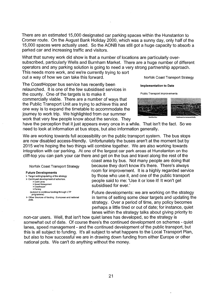There are an estimated 15,000 designated car parking spaces within the Hunstanton to Cromer route. On the August Bank Holiday 2000, which was a sunny day, only half of the 15,000 spaces were actually used. So the AONB has still got a huge capacity to absorb a parked car and increasing traffic and visitors.

What that survey work did show is that a number of locations are particularly oversubscribed, particularly Wells and Burnham Market. There are a huge number of different operators and any parking solution is going to need a very strong partnership approach. This needs more work, and we're currently trying to sort

out a way of how we can take this forward.

The CoastHopper bus service has recently been relaunched. It is one of the few subsidised services in the county. One of the targets is to make it commercially viable. There are a number of ways that the Public Transport Unit are trying to achieve this and one way is to expand the timetable to accommodate the journey to work trip. We highlighted from our summer work that very few people know about the service. They Norfolk Coast Transport Strategy

**Implementation to Date** 

Public Transport improvements



have the perception that it just appears every once in a while. That isn't the fact. So we need to look at information at bus stops, but also information generally.

We are working towards full accessibility on the public transport system. The bus stops are now disabled access-friendly. Unfortunately the buses aren't at the moment but by 2015 we're hoping the two things will combine together. We are also working towards integration with car parking. At one of the largest car park areas at Hunstanton on the cliff-top you can park your car there and get on the bus and travel along the rest of the

Norfolk Coast Transport Strategy

**Future Developments** > Target setting/updating of the strategy > Continued development of schemes. > Quiet Lanes<br>> Speed Management > Coasthopper  $\triangleright$  Parking (subject to continue funding through LTP programme) > Other Sources of funding : European and national

coast area by bus. Not many people are doing that because they don't know it's there. There's always room for improvement. It is a highly regarded service by those who use it, and one of the public transport people said to me: 'Use it or lose it! It won't get subsidised for ever.'

Future developments: we are working on the strategy in terms of setting some clear targets and updating the strategy. Over a period of time, any policy becomes perhaps a little tired or out of date; for instance, quiet lanes within the strategy talks about giving priority to

non-car users. Well, that isn't how quiet lanes has developed, so the strategy is somewhat out of date. Of course there's the continued development on schemes - quiet lanes, speed management - and the continued development of the public transport, but this is all subject to funding. It's all subject to what happens to the Local Transport Plan, but also to how successful we are in drawing down funding from either Europe or other national pots. We can't do anything without the money.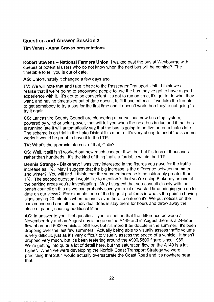# Question and Answer Session 2

## Tim Venes - Anna Graves presentations

Robert Stevens - National Farmers Union: I walked past the bus at Weybourne with queues of potential users who do not know when the next bus will be coming? The timetable to tell you is out of date.

AG: Unfortunately it changed a few days ago.

TV: We will note that and take it back to the Passenger Transport Unit. I think we all realise that if we're going to encourage people to use the bus they've got to have a good experience with it. It's got to be convenient, it's got to run on time, it's got to do what they want, and having timetables out of date doesn't fulfil those criteria. If we take the trouble to get somebody to try a bus for the first time and it doesn't work then they're not going to try it again.

CS: Lancashire County Council are pioneering a marvellous new bus stop system, powered by wind or solar power, that will tell you when the next bus is due and if that bus is running late it will automatically say that the bus is going to be five or ten minutes late. The scheme is on trial in the Lake District this month. It's very cheap to and if the scheme works it would be great to have it in the LTP.

TV: What's the approximate cost of that, Colin?

CS: Well, it still isn't worked out how much cheaper it will be, but it's tens of thousands rather than hundreds. It's the kind of thing that's affordable within the LTP.

Dennis Strange - Blakeney: I was very interested in the figures you gave for the traffic increase as 1%. May I suggest that the big increase is the difference between summer and winter? You will find, I think, that the summer increase is considerably greater than 1%. The second question I would like to mention is that you're using Blakeney as one of the parking areas you're investigating. May I suggest that you consult closely with the parish council on this as we can probably save you a lot of wasted time bringing you up to date on our views? For example, one of the biggest problems is what's the point in having signs saying 20 minutes when no one's ever there to enforce it? We put notices on the cars concerned and all the individual does is stay there for hours and throw away the piece of paper, causing additional litter.

AG: In answer to your first question  $-$  you're spot on that the difference between a November day and an August day is huge on the A149 and in August there is a 24-hour flow of around 6000 vehicles. Still low, but it's more than double in the summer. It's been dropping over the last few summers. Actually being able to visually assess traffic volume is very difficult, just as it's very difficult to visually assess the speed of a vehicle. It hasn't dropped very much, but it's been teetering around the 4900/5600 figure since 1989. We're getting into quite a lot of detail here, but the saturation flow on the A149 is a lot higher. When we were developing the Norfolk Coast Transport Strategy we were predicting that 2001 would actually oversaturate the Coast Road and it's nowhere near that.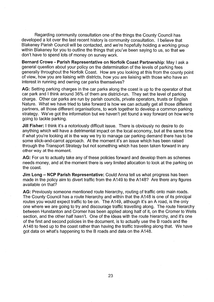Regarding community consultation one of the things the County Council has developed a lot over the last recent history is community consultation. I believe that Blakeney Parish Council will be contacted, and we're hopefully holding a working group within Blakeney for you to outline the things that you've been saying to us, so that we don't have to spend lots of money on survey work.

Bernard Crowe - Parish Representative on Norfolk Coast Partnership: May I ask a general question about your policy on the determination of the levels of parking fees generally throughout the Norfolk Coast. How are you looking at this from the county point of view, how you are liaising with districts, how you are liaising with those who have an interest in running and owning car parks themselves?

AG: Setting parking charges in the car parks along the coast is up to the operator of that car park and I think around 36% of them are district-run. They set the level of parking charge. Other car parks are run by parish councils, private operators, trusts or English Nature. What we have tried to take forward is how we can actually get all those different partners, all those different organisations, to work together to develop a common parking strategy. We've got the information but we haven't yet found a way forward on how we're going to tackle parking.

**Jill Fisher: I think it's a notoriously difficult issue. There is obviously no desire to do** anything which will have a detrimental impact on the local economy, but at the same time if what you're looking at is the way we try to manage car parking demand there has to be some stick-and-carrot approach. At the moment it's an issue which has been raised through the Transport Strategy but not something which has been taken forward in any other way at the moment.

AG: For us to actually take any of these policies forward and develop them as schemes needs money, and at the moment there is very limited allocation to look at the parking on the coast.

Jim Long - NCP Parish Representative: Could Anna tell us what progress has been made in the policy aim to divert traffic from the A149 to the A148? Are there any figures available on that?

AG: Previously someone mentioned route hierarchy, routing of traffic onto main roads. The County Council has a route hierarchy and within that the A148 is one of its principal routes you would expect traffic to be on. The A149, although it's an A road, is the only one where we are going to try and discourage traffic travelling along. The route hierarchy between Hunstanton and Cromer has been applied along half of it, on the Cromer to Wells section, and the other half hasn't. One of the ideas with the route hierarchy, and it's one of the first and second policies in the document, is to actually use the B roads and the A148 to feed up to the coast rather than having the traffic travelling along that. We have got data on what's happening to the B roads and data on the A148.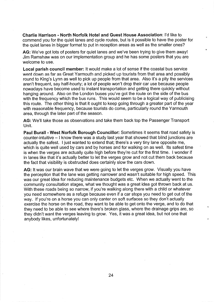Charlie Harrison - North Norfolk Hotel and Guest House Association: I'd like to commend you for the quiet lanes and cycle routes, but is it possible to have the poster for the quiet lanes in bigger format to put in reception areas as well as the smaller ones?

AG: We've got lots of posters for quiet lanes and we've been trying to give them away! Jim Ramshaw was on our implementation group and he has some posters that you are welcome to use.

Local parish council member; It would make a lot of sense if the coastal bus service went down as far as Great Yarmouth and picked up tourists from that area and possibly round to King's Lynn as well to pick up people from that area. Also it's a pity the services aren't frequent, say half-hourly; a lot of people won't drop their car use because people nowadays have become used to instant transportation and getting there quickly without hanging around. Also on the London buses you've got the route on the side of the bus with the frequency which the bus runs. This would seem to be a logical way of publicising this route. The other thing is that it ought to keep going through a greater part of the year with reasonable frequency, because tourists do come, particularly round the Yarmouth area, through the later part of the season.

AG: We'll take those as observations and take them back top the Passenger Transport Unit.

Paul Burall - West Norfolk Borough Councillor: Sometimes it seems that road safety is counter-intuitive – I know there was a study last year that showed that blind junctions are actually the safest. I just wanted to extend that; there's a very tiny lane opposite me, which is quite well used by cars and by horses and for walking on as well. Its safest time is when the verges are actually quite high before they're cut for the first time. I wonder if in lanes like that it's actually better to let the verges grow and not cut them back because the fact that visibility is obstructed does certainly slow the cars down.

AG: It was our brain wave that we were going to let the verges grow. Visually you have the perception that the lane was getting narrower and wasn't suitable for high speed. This was our great idea for reducing maintenance budgets etc. When we actually went to the community consultation stages, what we thought was a great idea got thrown back at us. With these roads being so narrow, if you're walking along there with a child or whatever you need somewhere as a refuge because even if a car stops you need to get out of the way. If you're on a horse you can only canter on soft surfaces so they don't actually exercise the horse on the road, they want to be able to get onto the verge, and to do that they need to be able to see where there's broken glass, where the drainage grips are, so they didn't want the verges leaving to grow. Yes, it was a great idea, but not one that anybody likes, unfortunately!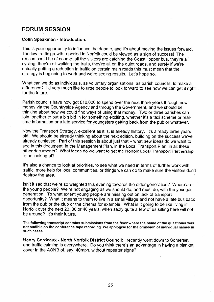# **FORUM SESSION**

## **Colin Speakman - Introduction.**

This is your opportunity to influence the debate, and it's about moving the issues forward. The low traffic growth reported in Norfolk could be viewed as a sign of success! The reason could be of course, all the visitors are catching the CoastHopper bus, they're all cycling, they're all walking the trails, they're all on the quiet roads, and surely if we're actually getting a reduction in traffic on certain main roads this must mean that the strategy is beginning to work and we're seeing results. Let's hope so.

What can we do as individuals, as voluntary organisations, as parish councils, to make a difference? I'd very much like to urge people to look forward to see how we can get it right for the future.

Parish councils have now got £10,000 to spend over the next three years through new money via the Countryside Agency and through the Government, and we should be thinking about how we could find ways of using that money. Two or three parishes can join together to put a big bid in for something exciting, whether it's a taxi scheme or realtime information or a late service for youngsters getting back from the pub or whatever.

Now the Transport Strategy, excellent as it is, is already history. It's already three years old. We should be already thinking about the next edition, building on the success we've already achieved. Part of this session is about just that - what new ideas do we want to see in this document, in the Management Plan, in the Local Transport Plan, in all these other documents? What ideas do we want to get the Norfolk Local Transport Partnership to be looking at?

It's also a chance to look at priorities, to see what we need in terms of further work with traffic, more help for local communities, or things we can do to make sure the visitors don't destroy the area.

Isn't it sad that we're so weighted this evening towards the older generation? Where are the young people? We're not engaging as we should do, and must do, with the younger generation. To what extent young people are missing out on lack of transport opportunity? What it means to them to live in a small village and not have a late bus back from the pub or the club or the cinema for example. What is it going to be like living in Norfolk over the next 20, 30 or 40 years, when sadly quite a few of us sitting here will not be around? It's their future.

The following transcript contains submissions from the floor where the name of the questioner was not audible on the conference tape recording. We apologise for the omission of individual names in such cases.

Henry Cordeaux - North Norfolk District Council: I recently went down to Somerset and traffic calming is everywhere. Do you think there's an advantage in having a blanket cover in the AONB of, say, 40mph, without repeater signs?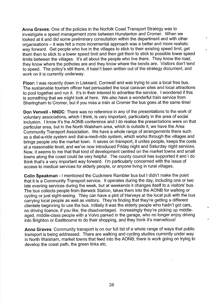Anna Graves: One of the policies in the Norfolk Coast Transport Strategy was to investigate a speed management zone between Hunstanton and Cromer. When we looked at it and did some preliminary consultation within the department and with other organisations – it was felt a more incremental approach was a better and more realistic way forward. Get people who live in the villages to stick to their existing speed limit, get them then to stick to a lower speed limit and then get them to stick to possible lower speed limits between the villages. It's all about the people who live there. They know the road, they know where the potholes are and they know where the bends are. Visitors don't tend to speed. The policy's still there, it hasn't been written out of the strategy document, and work on it is currently underway.

Floor: I was recently down in Liskeard, Cornwall and was trying to use a local free bus. The sustainable tourism officer had persuaded the local caravan sites and local attractions to pool together and run it. It's in their interest to advertise the service. I wondered if this is something that we might look at here. We also have a wonderful train service from Sheringham to Cromer, but if you miss a train at Cromer the bus goes at the same time!

Don Venvell - NNDC: There was no reference in any of the presentations to the work of voluntary associations, which I think, is very important, particularly in the area of social inclusion. I know it's the AONB conference and I do realise the presentations were on that particular area, but in the North Walsham area, which is outside it, we have the Area Community Transport Association. We have a whole range of arrangements there such as a dial-a-ride system and dial-a-medi-ride system, which works through the villages and brings people into the market town. It saves on transport, it unites people, keeps the costs at a reasonable level, and we've now introduced Friday night and Saturday night services. Now, it seems to me that that kind of development centred on the market towns and small towns along the coast could be very helpful. The county council has supported it and I do think that's a very important way forward. I'm particularly concerned with the issue of access to medical services for elderly people, or anyone living in rural villages.

Colin Speakman - I mentioned the Cuckmere Rambler bus but I didn't make the point that it is a Community Transport service. It operates during the day, including one or two late evening services during the week, but at weekends it changes itself to a visitors' bus. The bus collects people from Berwick Station, takes them into the AONB for walking or cycling or just sight-seeing. They can have a pint of Harveys at the local pub with the bus carrying local people as well as visitors. They're finding that they're getting a different clientele beginning to use the bus. Initially it was the elderly people who hadn't got cars, no driving licence, if you like, the disadvantaged. Increasingly they're picking up middleaged, middle-class people with a Volvo parked in the garage, who no longer enjoy driving into Brighton or Eastbourne to do their shopping, and they think it's marvellous!

Anna Graves: Community transport is on our full list of a whole range of ways that public transport is being addressed. There are walking and cycling studies currently under way in North Walsham, market towns that feed into the AONB; there is work going on trying to develop the coast path, the green links etc.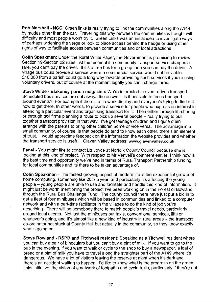Rob Marshall - NCC: Green links is really trying to link the communities along the A149 by modes other than the car. Travelling this way between the communities is fraught with difficulty and most people won't try it. Green Links was an initial idea to investigate ways of perhaps widening the verge or look to place access behind the hedge or using other rights of way to facilitate access between communities and or local attractions

Colin Speakman: Under the Rural White Paper, the Government is promising to review Section 19-Section 22 rules. At the moment if a community transport service charges a fare, you can't pay the driver. If it's a free bus for a group then you can pay the driver. A village bus could provide a service where a commercial service would not be viable. £10,000 from a parish could go a long way towards providing such services if you're using voluntary drivers, but of course at the moment legally you can't charge fares.

Steve Wilde - Blakeney parish magazine: We're interested in event-driven transport. Scheduled bus services are not always the answer. Is it possible to focus transport around events? For example if there's a firework display and everyone's trying to find out how to get there. In other words, to provide a service for people who express an interest in attending a particular event and organising transport for it. Then either through lift-sharing or through taxi firms planning a route to pick up several people – really trying to pull together transport provision in that way. I've got teenage children and I quite often arrange with the parents to bring other children home or vice versa. The advantage in a small community, of course, is that people do tend to know each other, there's an element of trust. I would appreciate feedback on the information the website provides and whether the transport service is useful. Glaven Valley address: www.glavenvalley.co.uk

**Panel - You might like to contact Liz Joyce at Norfolk County Council because she is** looking at this kind of project. With respect to Mr Venvell's comment earlier, I think now is the best time and opportunity we've had in terms of Rural Transport Partnership funding for local communities and its there to be taken advantage of.

Colin Speakman - The fastest growing aspect of modern life is the exponential growth of home computing, something like 20% a year, and particularly it's affecting the young people – young people are able to use and facilitate and handle this kind of information. It might just be worth mentioning the project I've been working on in the Forest of Bowland through the Rural Bus Challenge Fund. The county council there have just put a bid in to get a fleet of four minibuses which will be based in communities and linked to a computer network and with a part-time facilitator in the villages to do the kind of job you're describing. There will be somebody there to match people's travel needs, particularly around local events. Not just the minibuses but taxis, conventional services, lifts or whatever's going, and it's almost like a new kind of industry in rural areas – the transport co-ordinator not stuck at County Hall but actually in the community, so they know exactly what's going on.

Steve Rowland - RSPB and Titchwell resident: Speaking as a Titchwell resident where you can buy a pair of binoculars but you can't buy a pint of milk. If you want to go to the pub in the evening, if you want to walk or cycle to the shop to buy a newspaper, a loaf of bread or a pint of milk you have to travel along the straighter part of the A149 where it's dangerous. We have a lot of visitors leaving the reserve at night when it's dark and there's an accident waiting to happen. I'd like to know what is the progress on the green links initiative, the vision of a network of footpaths and cycle trails, particularly if they're not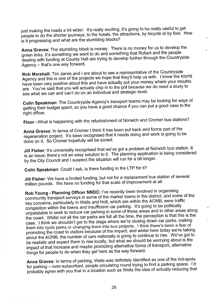just making the roads a bit wider. It's really exciting, it's going to be really useful to get people to do the shorter journeys, to the hotels, the attractions, by bicycle or by foot. How is it progressing and what are the stumbling blocks?

Anna Graves: The stumbling block is money. There is no money for us to develop the green links. It's something we want to do and something that Robert and the people dealing with funding at County Hall are trying to develop further through the Countryside Agency - that's one way forward.

Rob Marshall: Tim Jarvis and I are about to see a representative of the Countryside Agency and this is one of the projects we hope that they'll help us with. I know the RSPB have been very positive about this and have actually put your money where your mouths are. You've said that you will actually chip in to the pot because we do need a study to see what we can and can't do on an individual and strategic level.

Colin Speakman: The Countryside Agency's transport teams may be looking for ways of getting their budget spent, so you have a good chance if you can put a good case to the right officer.

Floor -What is happening with the refurbishment of Norwich and Cromer bus stations?

Anna Graves: In terms of Cromer I think it has been put back and forms part of the regeneration project. It's been recognised that it needs doing and work is going to be done on it. So Cromer hopefully will be sorted.

Jill Fisher: It's universally recognised that we've got a problem at Norwich bus station. It is an issue; there's not an easy solution to it. The planning application is being considered by the City Council and I suspect the situation will run for a bit longer.

Colin Speakman: Could I ask, is there funding in the LTP for it?

Jill Fisher: We have a limited funding, but not for a replacement bus station of several million pounds. We have no funding for that scale of improvement at all.

Rob Young - Planning Officer NNDC: I've recently been involved in organising community transport surveys in some of the market towns in the district, and some of the key concerns, particularly in Wells and Holt, which are within the AONB, were traffic congestion within the towns and insufficient car parking. It's going to be politically unpalatable to seek to reduce car parking in some of these areas and in other areas along the coast. Whilst not all the car parks are full all the time, the perception is that this is the case. I think we shouldn't get to the stage where we're closing down car parks, making them into cycle parks or changing them into bus projects. I think there's been a fear of promoting the coast to visitors because of the impact, and whilst here today we're talking about the AONB, the number of cars nationally is going to continue to rise. We've got to be realistic and expect them to rise locally, but what we should be worrying about is the impact of that increase and maybe promoting alternative forms of transport, alternative things for people to do when they get here as the way forward.

Anna Graves: In terms of parking, Wells was definitely identified as one of the hot-spots for parking - over-subscribed, people circulating round trying to find a parking space. I'd probably agree with you that in a location such as Wells the idea of actually reducing that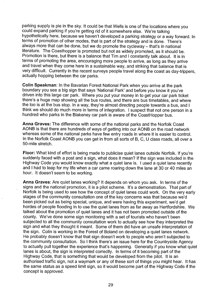parking supply is pie in the sky. It could be that Wells is one of the locations where you could expand parking if you're getting rid of it somewhere else. We're talking hypothetically here, because we haven't developed a parking strategy or a way forward. In terms of promotion of other modes, that is part of the strategy and is done. There's always more that can be done, but we do promote the cycleway - that's in national literature. The Coasthopper is promoted but not as widely promoted, as it should be. Promotion is there, but there is a balance that Tim and I constantly talk about. It is in terms of promoting the area, encouraging more people to arrive, as long as they arrive and travel when they come here in a sustainable way, and striking that balance that is very difficult. Currently in the recent surveys people travel along the coast as day-trippers, actually hopping between the car parks.

Colin Speakman: In the Bavarian Forest National Park when you arrive at the park boundary you see a big sign that says 'National Park' and before you know it you've driven into this large car park. Where you put your money in to get your car park ticket there's a huge map showing all the bus routes, and there are bus timetables, and where the loo is at the bus stop. In a way, they're almost directing people towards a bus, and I think we should do much more in terms of integration. I suspect that not one person in a hundred who parks in the Blakeney car park is aware of the CoastHopper bus.

Anna Graves: The difference with some of the national parks and the Norfolk Coast AONB is that there are hundreds of ways of getting into our AONB on the road network whereas some of the national parks have few entry roads in where it is easier to control. In the Norfolk Coast AONB you can get in from all sorts of B, C, U class roads, all over a 50-mile stretch.

Floor: What kind of effort is being made to publicise quiet lanes outside Norfolk. If you're suddenly faced with a post and a sign, what does it mean? If the sign was included in the Highway Code you would know exactly what a quiet lane is. I used a quiet lane recently and I had to leap for my life when a car came roaring down the lane at 30 or 40 miles an hour. It doesn't seem to be working.

Anna Graves: Are quiet lanes working? It depends on whom you ask. In terms of the signs and the national promotion, it is a pilot scheme. It's a demonstration. That part of Norfolk is being used to see how the concept of quiet lanes could work. On the very early stages of the community consultation one of the key concerns was that because we'd been picked out as being special, unique, and were having this experiment, we'd get hordes of people flooding in to use the quiet lanes from as far away as Hertfordshire. We talked about the promotion of quiet lanes and it has not been promoted outside of the county. We've done some sign monitoring with a set of tourists who haven't been subjected to all the community consultation work to actually see how they interpreted the sign and what they thought it meant. Some of them did have an unsafe interpretation of the sign. Colin is working in the Forest of Boland on developing a quiet lanes network. He probably doesn't know that that sign doesn't work to people who aren't subjected to the community consultation. So I think there's an issue here for the Countryside Agency to actually pull together the experience that's happening. Generally if you know what quiet lanes is about, the sign is interpreted correctly. In terms of it becoming part of the Highway Code, that is something that would be developed from the pilot. It is an authorised traffic sign, not a waymark or any of these sort of things you might hear. It has the same status as a speed limit sign, so it would become part of the Highway Code if the concept is approved.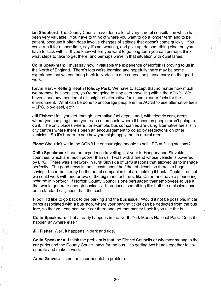**Ian Shepherd:** The County Council have done a lot of very careful consultation which has been very valuable. You have to think of where you want to go a longer term and to be patient, because it often does involve changes of attitude that doesn't come quickly. You could run it for a short time, say it's not working, and give up, do something else, but you have to stick with it. If you know where you want to go long-term you can perhaps think what steps to take to get there, and perhaps we're in that situation with quiet lanes.

**Colin Speakman:** I must say how invaluable the experience of Norfolk is proving to us in the North of England. There's lots we're learning and hopefully there may be some experience that we can bring back to Norfolk in due course, so please carry on the good work.

**Kevin Hart- Kelling Heath Holiday Park:** We have to accept that no matter how much we promote bus services, you're not going to stop cars travelling within the AONB. We haven't had any mention at all tonight of alternative fuels and cleaner fuels for the environment. What can be done to encourage people in the AONB to use alternative fuels - LPG, bio-diesel, etc?

**Jill Fisher:** Until you get enough alternative fuel depots and, with electric cars, areas where you can plug it and you reach a threshold where it becomes people aren't going to do it. The only places where, for example, bus companies are using alternative fuels is in city centres where there's been an encouragement to do so by restrictions on other vehicles. So it's harder to see how you might apply that in a rural area.

**Floor:** Shouldn't we in the AONB be encouraging people to sell LPG at filling stations?

**Colin Speakman:** I had an experience travelling last year in Hungary and Slovakia, countries, which are much poorer than us. I was with a friend whose vehicle is powered by LPG. There was a network in rural Slovakia of LPG stations that allowed us to manage perfectly. The good news is that it costs about half that of diesel, so there's a huge saving. I fear that it may be the petrol companies that are holding it back. Could it be that we could work with one or two of the big manufacturers, like Calor, and have a pioneering scheme in Norfolk? If Norfolk County Council alone persuaded their employees to use it, that would generate enough business. It produces something like half the omissions and on a standard car, about half the cost.

**Floor:** I'd like to go back to the parking and the bus issue. Would it not be possible, in car parks associated with a bus stop, where your parking ticket can be deducted from the bus fare, so that you can park your car there and get that money back if you use the bus.

**Colin Speakman:** That already happens in the North York Moors National Park. Does it happen anywhere else?

**Jill Fisher:** Well, it happens in park and ride.

**Colin Speakman:** I think the problem is that the District Councils or whoever manages the car parks and the County Council pays for the bus. It's getting two heads together to cooperate and make it work.

**Anna Graves:** It's not an insurmountable problem.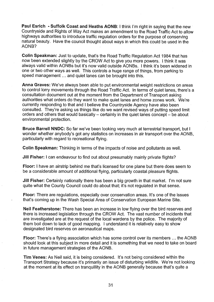**Paul Esrich - Suffolk Coast and Heaths AONB: I think I'm right in saving that the new** Countryside and Rights of Way Act makes an amendment to the Road Traffic Act to allow highways authorities to introduce traffic regulation orders for the purpose of conserving natural beauty. Have the council thought about ways in which this could be used in the AONB?

Colin Speakman: Just to update, that's the Road Traffic Regulation Act 1984 that has now been extended slightly by the CROW Act to give you more powers. I think it was always valid within AONBs but it's now valid outside AONBs. I think it's been widened in one or two other ways as well. This controls a huge range of things, from parking to speed management ... and quiet lanes can be brought into this.

Anna Graves: We've always been able to put environmental weight restrictions on areas to control lorry movements through the Road Traffic Act. In terms of quiet lanes, there's a consultation document out at the moment from the Department of Transport asking authorities what orders do they want to make quiet lanes and home zones work. We're currently responding to that and I believe the Countryside Agency have also been consulted. They're asking us things like do we want revised ways of putting speed limit orders and others that would basically – certainly in the quiet lanes concept – be about environmental protection.

Bruce Barrell NNDC: So far we've been looking very much at terrestrial transport, but I wonder whether anybody's got any statistics on increases in air transport over the AONB. particularly with regard to recreational flying.

Colin Speakman: Thinking in terms of the impacts of noise and pollutants as well.

Jill Fisher: I can endeavour to find out about presumably mainly private flights?

Floor: I have an airstrip behind me that's licensed for one plane but there does seem to be a considerable amount of additional flying, particularly coastal pleasure flights.

Jill Fisher: Certainly nationally there has been a big growth in that market. I'm not sure quite what the County Council could do about that; it's not regulated in that sense.

Floor: There are regulations, especially over conservation areas. It's one of the issues that's coming up in the Wash Special Area of Conservation European Marine Site.

Neil Featherstone: There has been an increase in low flying over the bird reserves and there is increased legislation through the CROW Act. The vast number of incidents that are investigated are at the request of the local wardens by the police. The majority of them boil down to lack of good mapping. I understand it is relatively easy to show designated bird reserves on aeronautical maps.

Floor: There's a flying association which has some control over its members ... the AONB should look at this subject in more detail and it is something that we need to take on board in future management strategies of the AONB.

Tim Venes: As Neil said, it is being considered. It's not being considered within the Transport Strategy because it's primarily an issue of disturbing wildlife. We're not looking at the moment at its effect on tranquillity in the AONB generally because that's quite a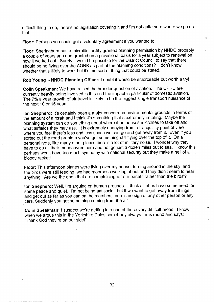difficult thing to do, there's no legislation covering it and I'm not quite sure where we go on that.

Floor: Perhaps you could get a voluntary agreement if you wanted to.

Floor: Sheringham has a microlite facility granted planning permission by NNDC probably a couple of years ago and granted on a provisional basis for a year subject to renewal on how it worked out. Surely it would be possible for the District Council to say that there should be no flying over the AONB as part of the planning conditions? I don't know whether that's likely to work but it's the sort of thing that could be stated.

Rob Young - NNDC Planning Officer: I doubt it would be enforceable but worth a try!

Colin Speakman: We have raised the broader question of aviation. The CPRE are currently heavily being involved in this and the impact in particular of domestic aviation. The 7% a year growth of air travel is likely to be the biggest single transport nuisance of the next 10 or 15 years.

lan Shepherd: It's certainly been a major concern on environmental grounds in terms of the amount of aircraft and I think it's something that's extremely irritating. Maybe the planning system can do something about where it authorises microlites to take off and what airfields they may use. It is extremely annoving from a tranguillity point of view where you feel there's less and less space we can go and get away from it. Even if you sorted out the road problem you've got something still flying over the top of it. On a personal note, like many other places there's a lot of military noise. I wonder why they have to do all their manoeuvres here and not go just a dozen miles out to sea. I know this perhaps won't have too much sympathy with national security but they make a hell of a bloody racket!

Floor: This afternoon planes were flying over my house, turning around in the sky, and the birds were still feeding, we had moorhens walking about and they didn't seem to hear anything. Are we the ones that are complaining for our benefit rather than the birds'?

lan Shepherd: Well, I'm arguing on human grounds. I think all of us have some need for some peace and quiet. I'm not being antisocial, but if we want to get away from things and get out as far as you can on the marshes, there's no sign of any other person or any cars. Suddenly you get something coming from the air

Colin Speakman: I suspect we're getting into one of those very difficult areas. I know when we argue this in the Yorkshire Dales somebody always turns round and says: 'Thank God they're on our side!'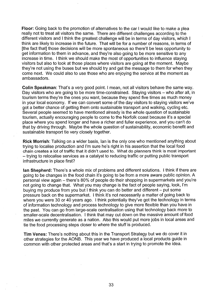Floor: Going back to the promotion of alternatives to the car I would like to make a plea really not to treat all visitors the same. There are different challenges according to the different visitors and I think the greatest challenge will be in terms of day visitors, which I think are likely to increase in the future. That will be for a number of reasons, in terms of [the fact that] those decisions will be more spontaneous so there'll be less opportunity to get information to them in advance, and they're also going to be more sensitive to any increase in time. I think we should make the most of opportunities to influence staying visitors but also to look at those places where visitors are going at the moment. Maybe they're not using the buses but we should try and get the message to them for when they come next. We could also to use those who are enjoying the service at the moment as ambassadors.

Colin Speakman: That's a very good point. I mean, not all visitors behave the same way. Day visitors who are going to be more time-constrained. Staving visitors - who after all, in tourism terms they're the ones you want, because they spend five times as much money in your local economy. If we can convert some of the day visitors to staying visitors we've got a better chance of getting them onto sustainable transport and walking, cycling etc. Several people seemed to have mentioned already is the whole question of sustainable tourism, actually encouraging people to come to the Norfolk coast because it's a special place where you spend longer and have a richer and fuller experience, and you can't do that by driving through. Maybe the whole question of sustainability, economic benefit and sustainable transport tie very closely together.

Rick Morrish: Talking on a wider basis, Ian is the only one who mentioned anything about trying to localise production and I'm sure he's right in his assertion that the local food chain creates a lot of traffic that it didn't used to. What do planners think is most important - trying to relocalise services as a catalyst to reducing traffic or putting public transport infrastructure in place first?

**Ian Shepherd:** There's a whole mix of problems and different solutions. I think if there are going to be changes in the food chain it's going to be from a more aware public opinion. A personal view again – there's 80% of people do their shopping in supermarkets and you're not going to change that. What you may change is the fact of people saying, look, I'm buying my produce from you but I think you can do better and different - put some pressure back on the supermarket. I think it's not necessarily a matter of going back to where you were 30 or 40 years ago. I think potentially they've got the technology in terms of information technology and process technology to give more flexible than you have in the past. You can go from large-scale centralisation using that technology back more to smaller-scale decentralisation. I think that may cut down on the massive amount of food miles we currently generate as a nation. Also this would put more jobs in local areas and tie the food processing steps closer to where the stuff is produced.

Tim Venes: There's nothing about this in the Transport Strategy but we do cover it in other strategies for the AONB. This year we have produced a local products guide in common with other protected areas and that's a start in trying to promote the idea.